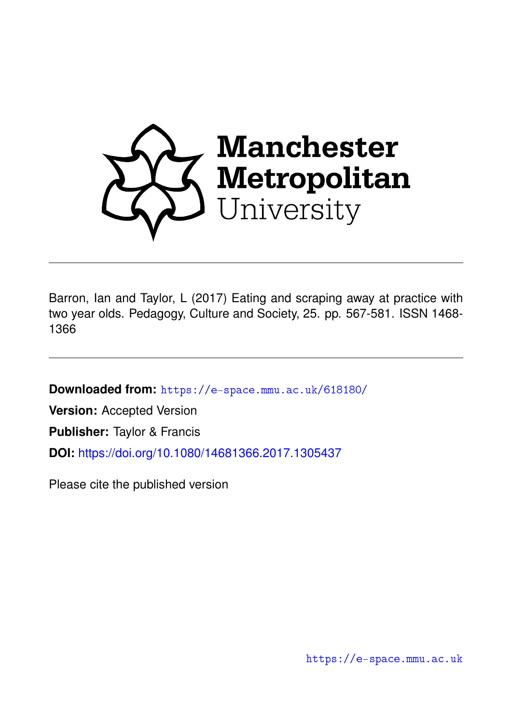

Barron, Ian and Taylor, L (2017) Eating and scraping away at practice with two year olds. Pedagogy, Culture and Society, 25. pp. 567-581. ISSN 1468- 1366

**Downloaded from:** <https://e-space.mmu.ac.uk/618180/>

**Version:** Accepted Version

**Publisher:** Taylor & Francis

**DOI:** <https://doi.org/10.1080/14681366.2017.1305437>

Please cite the published version

<https://e-space.mmu.ac.uk>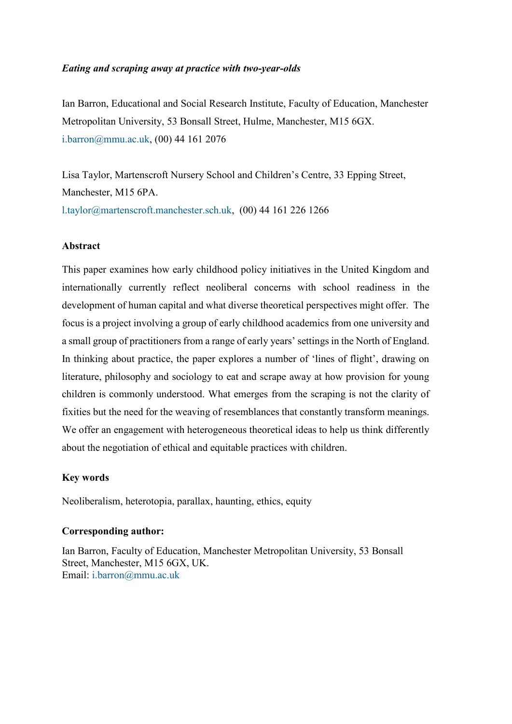## *Eating and scraping away at practice with two-year-olds*

Ian Barron, Educational and Social Research Institute, Faculty of Education, Manchester Metropolitan University, 53 Bonsall Street, Hulme, Manchester, M15 6GX. [i.barron@mmu.ac.uk,](mailto:i.barron@mmu.ac.uk) (00) 44 161 2076

Lisa Taylor, Martenscroft Nursery School and Children's Centre, 33 Epping Street, Manchester, M15 6PA. [l.taylor@martenscroft.manchester.sch.uk,](mailto:l.taylor@martenscroft.manchester.sch.uk) (00) 44 161 226 1266

### **Abstract**

This paper examines how early childhood policy initiatives in the United Kingdom and internationally currently reflect neoliberal concerns with school readiness in the development of human capital and what diverse theoretical perspectives might offer. The focus is a project involving a group of early childhood academics from one university and a small group of practitioners from a range of early years' settings in the North of England. In thinking about practice, the paper explores a number of 'lines of flight', drawing on literature, philosophy and sociology to eat and scrape away at how provision for young children is commonly understood. What emerges from the scraping is not the clarity of fixities but the need for the weaving of resemblances that constantly transform meanings. We offer an engagement with heterogeneous theoretical ideas to help us think differently about the negotiation of ethical and equitable practices with children.

### **Key words**

Neoliberalism, heterotopia, parallax, haunting, ethics, equity

### **Corresponding author:**

Ian Barron, Faculty of Education, Manchester Metropolitan University, 53 Bonsall Street, Manchester, M15 6GX, UK. Email: [i.barron@mmu.ac.uk](mailto:i.barron@mmu.ac.uk)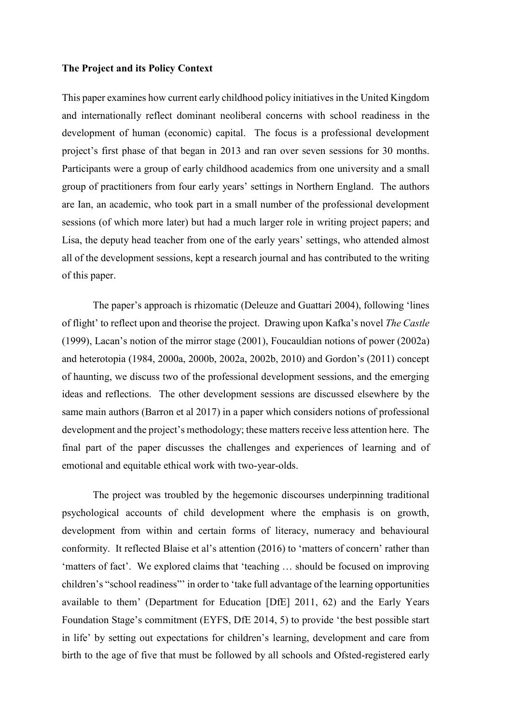### **The Project and its Policy Context**

This paper examines how current early childhood policy initiatives in the United Kingdom and internationally reflect dominant neoliberal concerns with school readiness in the development of human (economic) capital. The focus is a professional development project's first phase of that began in 2013 and ran over seven sessions for 30 months. Participants were a group of early childhood academics from one university and a small group of practitioners from four early years' settings in Northern England. The authors are Ian, an academic, who took part in a small number of the professional development sessions (of which more later) but had a much larger role in writing project papers; and Lisa, the deputy head teacher from one of the early years' settings, who attended almost all of the development sessions, kept a research journal and has contributed to the writing of this paper.

The paper's approach is rhizomatic (Deleuze and Guattari 2004), following 'lines of flight' to reflect upon and theorise the project. Drawing upon Kafka's novel *The Castle*  (1999), Lacan's notion of the mirror stage (2001), Foucauldian notions of power (2002a) and heterotopia (1984, 2000a, 2000b, 2002a, 2002b, 2010) and Gordon's (2011) concept of haunting, we discuss two of the professional development sessions, and the emerging ideas and reflections. The other development sessions are discussed elsewhere by the same main authors (Barron et al 2017) in a paper which considers notions of professional development and the project's methodology; these matters receive less attention here. The final part of the paper discusses the challenges and experiences of learning and of emotional and equitable ethical work with two-year-olds.

The project was troubled by the hegemonic discourses underpinning traditional psychological accounts of child development where the emphasis is on growth, development from within and certain forms of literacy, numeracy and behavioural conformity. It reflected Blaise et al's attention (2016) to 'matters of concern' rather than 'matters of fact'. We explored claims that 'teaching … should be focused on improving children's "school readiness"' in order to 'take full advantage of the learning opportunities available to them' (Department for Education [DfE] 2011, 62) and the Early Years Foundation Stage's commitment (EYFS, DfE 2014, 5) to provide 'the best possible start in life' by setting out expectations for children's learning, development and care from birth to the age of five that must be followed by all schools and Ofsted-registered early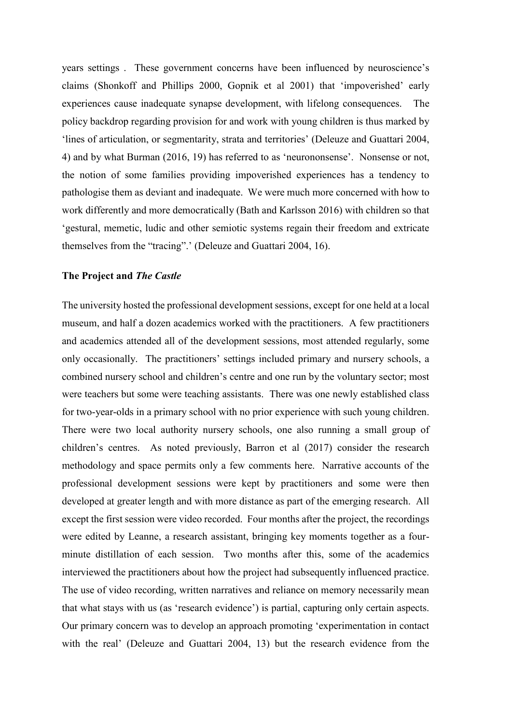years settings . These government concerns have been influenced by neuroscience's claims (Shonkoff and Phillips 2000, Gopnik et al 2001) that 'impoverished' early experiences cause inadequate synapse development, with lifelong consequences. The policy backdrop regarding provision for and work with young children is thus marked by 'lines of articulation, or segmentarity, strata and territories' (Deleuze and Guattari 2004, 4) and by what Burman (2016, 19) has referred to as 'neurononsense'. Nonsense or not, the notion of some families providing impoverished experiences has a tendency to pathologise them as deviant and inadequate. We were much more concerned with how to work differently and more democratically (Bath and Karlsson 2016) with children so that 'gestural, memetic, ludic and other semiotic systems regain their freedom and extricate themselves from the "tracing".' (Deleuze and Guattari 2004, 16).

### **The Project and** *The Castle*

The university hosted the professional development sessions, except for one held at a local museum, and half a dozen academics worked with the practitioners. A few practitioners and academics attended all of the development sessions, most attended regularly, some only occasionally. The practitioners' settings included primary and nursery schools, a combined nursery school and children's centre and one run by the voluntary sector; most were teachers but some were teaching assistants. There was one newly established class for two-year-olds in a primary school with no prior experience with such young children. There were two local authority nursery schools, one also running a small group of children's centres. As noted previously, Barron et al (2017) consider the research methodology and space permits only a few comments here. Narrative accounts of the professional development sessions were kept by practitioners and some were then developed at greater length and with more distance as part of the emerging research. All except the first session were video recorded. Four months after the project, the recordings were edited by Leanne, a research assistant, bringing key moments together as a fourminute distillation of each session. Two months after this, some of the academics interviewed the practitioners about how the project had subsequently influenced practice. The use of video recording, written narratives and reliance on memory necessarily mean that what stays with us (as 'research evidence') is partial, capturing only certain aspects. Our primary concern was to develop an approach promoting 'experimentation in contact with the real' (Deleuze and Guattari 2004, 13) but the research evidence from the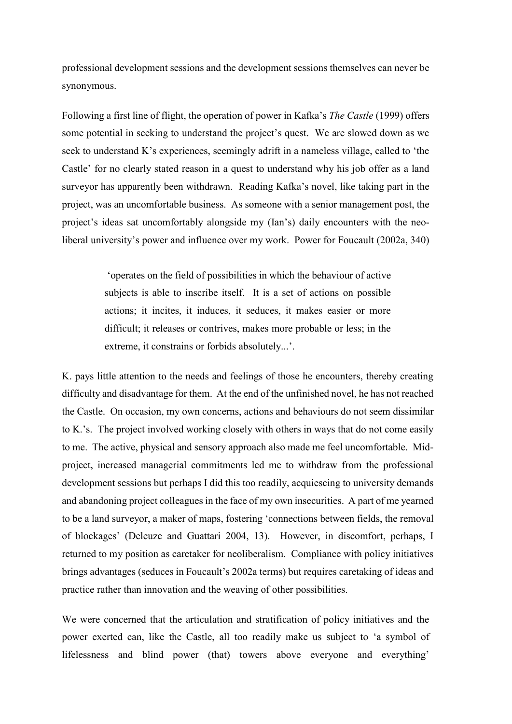professional development sessions and the development sessions themselves can never be synonymous.

Following a first line of flight, the operation of power in Kafka's *The Castle* (1999) offers some potential in seeking to understand the project's quest. We are slowed down as we seek to understand K's experiences, seemingly adrift in a nameless village, called to 'the Castle' for no clearly stated reason in a quest to understand why his job offer as a land surveyor has apparently been withdrawn. Reading Kafka's novel, like taking part in the project, was an uncomfortable business. As someone with a senior management post, the project's ideas sat uncomfortably alongside my (Ian's) daily encounters with the neoliberal university's power and influence over my work. Power for Foucault (2002a, 340)

> 'operates on the field of possibilities in which the behaviour of active subjects is able to inscribe itself. It is a set of actions on possible actions; it incites, it induces, it seduces, it makes easier or more difficult; it releases or contrives, makes more probable or less; in the extreme, it constrains or forbids absolutely...'.

K. pays little attention to the needs and feelings of those he encounters, thereby creating difficulty and disadvantage for them. At the end of the unfinished novel, he has not reached the Castle. On occasion, my own concerns, actions and behaviours do not seem dissimilar to K.'s. The project involved working closely with others in ways that do not come easily to me. The active, physical and sensory approach also made me feel uncomfortable. Midproject, increased managerial commitments led me to withdraw from the professional development sessions but perhaps I did this too readily, acquiescing to university demands and abandoning project colleagues in the face of my own insecurities. A part of me yearned to be a land surveyor, a maker of maps, fostering 'connections between fields, the removal of blockages' (Deleuze and Guattari 2004, 13). However, in discomfort, perhaps, I returned to my position as caretaker for neoliberalism. Compliance with policy initiatives brings advantages (seduces in Foucault's 2002a terms) but requires caretaking of ideas and practice rather than innovation and the weaving of other possibilities.

We were concerned that the articulation and stratification of policy initiatives and the power exerted can, like the Castle, all too readily make us subject to 'a symbol of lifelessness and blind power (that) towers above everyone and everything'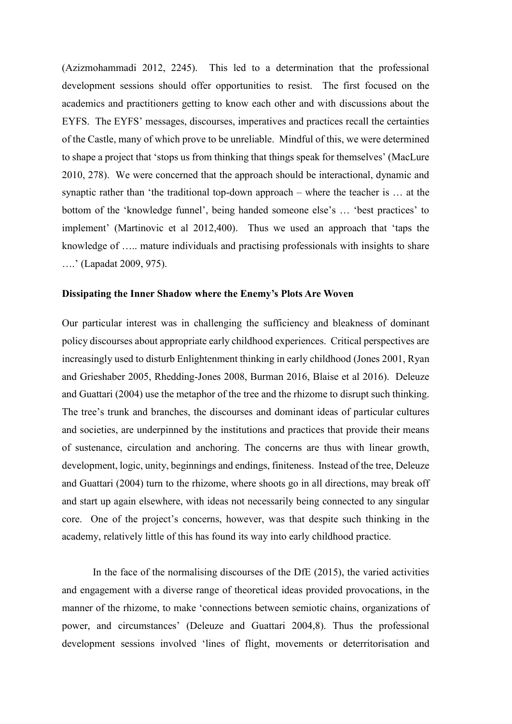(Azizmohammadi 2012, 2245). This led to a determination that the professional development sessions should offer opportunities to resist. The first focused on the academics and practitioners getting to know each other and with discussions about the EYFS. The EYFS' messages, discourses, imperatives and practices recall the certainties of the Castle, many of which prove to be unreliable. Mindful of this, we were determined to shape a project that 'stops us from thinking that things speak for themselves' (MacLure 2010, 278). We were concerned that the approach should be interactional, dynamic and synaptic rather than 'the traditional top-down approach – where the teacher is … at the bottom of the 'knowledge funnel', being handed someone else's … 'best practices' to implement' (Martinovic et al 2012,400). Thus we used an approach that 'taps the knowledge of ….. mature individuals and practising professionals with insights to share ….' (Lapadat 2009, 975).

#### **Dissipating the Inner Shadow where the Enemy's Plots Are Woven**

Our particular interest was in challenging the sufficiency and bleakness of dominant policy discourses about appropriate early childhood experiences. Critical perspectives are increasingly used to disturb Enlightenment thinking in early childhood (Jones 2001, Ryan and Grieshaber 2005, Rhedding-Jones 2008, Burman 2016, Blaise et al 2016). Deleuze and Guattari (2004) use the metaphor of the tree and the rhizome to disrupt such thinking. The tree's trunk and branches, the discourses and dominant ideas of particular cultures and societies, are underpinned by the institutions and practices that provide their means of sustenance, circulation and anchoring. The concerns are thus with linear growth, development, logic, unity, beginnings and endings, finiteness. Instead of the tree, Deleuze and Guattari (2004) turn to the rhizome, where shoots go in all directions, may break off and start up again elsewhere, with ideas not necessarily being connected to any singular core. One of the project's concerns, however, was that despite such thinking in the academy, relatively little of this has found its way into early childhood practice.

In the face of the normalising discourses of the DfE (2015), the varied activities and engagement with a diverse range of theoretical ideas provided provocations, in the manner of the rhizome, to make 'connections between semiotic chains, organizations of power, and circumstances' (Deleuze and Guattari 2004,8). Thus the professional development sessions involved 'lines of flight, movements or deterritorisation and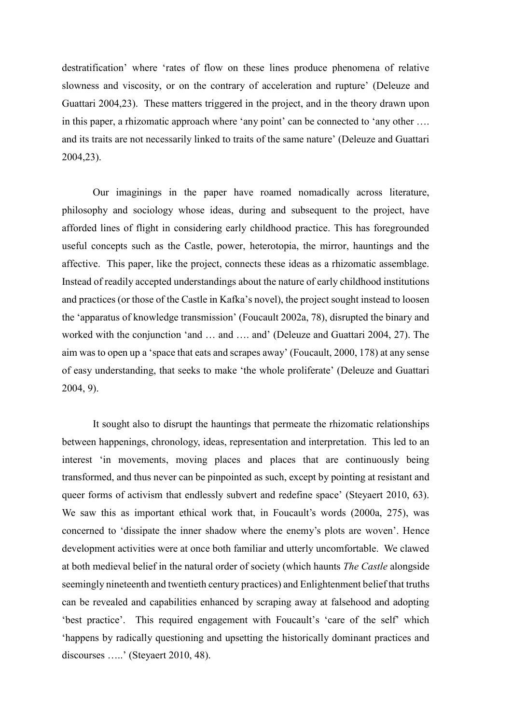destratification' where 'rates of flow on these lines produce phenomena of relative slowness and viscosity, or on the contrary of acceleration and rupture' (Deleuze and Guattari 2004,23). These matters triggered in the project, and in the theory drawn upon in this paper, a rhizomatic approach where 'any point' can be connected to 'any other …. and its traits are not necessarily linked to traits of the same nature' (Deleuze and Guattari 2004,23).

Our imaginings in the paper have roamed nomadically across literature, philosophy and sociology whose ideas, during and subsequent to the project, have afforded lines of flight in considering early childhood practice. This has foregrounded useful concepts such as the Castle, power, heterotopia, the mirror, hauntings and the affective. This paper, like the project, connects these ideas as a rhizomatic assemblage. Instead of readily accepted understandings about the nature of early childhood institutions and practices (or those of the Castle in Kafka's novel), the project sought instead to loosen the 'apparatus of knowledge transmission' (Foucault 2002a, 78), disrupted the binary and worked with the conjunction 'and … and …. and' (Deleuze and Guattari 2004, 27). The aim was to open up a 'space that eats and scrapes away' (Foucault, 2000, 178) at any sense of easy understanding, that seeks to make 'the whole proliferate' (Deleuze and Guattari 2004, 9).

It sought also to disrupt the hauntings that permeate the rhizomatic relationships between happenings, chronology, ideas, representation and interpretation. This led to an interest 'in movements, moving places and places that are continuously being transformed, and thus never can be pinpointed as such, except by pointing at resistant and queer forms of activism that endlessly subvert and redefine space' (Steyaert 2010, 63). We saw this as important ethical work that, in Foucault's words (2000a, 275), was concerned to 'dissipate the inner shadow where the enemy's plots are woven'. Hence development activities were at once both familiar and utterly uncomfortable. We clawed at both medieval belief in the natural order of society (which haunts *The Castle* alongside seemingly nineteenth and twentieth century practices) and Enlightenment belief that truths can be revealed and capabilities enhanced by scraping away at falsehood and adopting 'best practice'. This required engagement with Foucault's 'care of the self' which 'happens by radically questioning and upsetting the historically dominant practices and discourses …..' (Steyaert 2010, 48).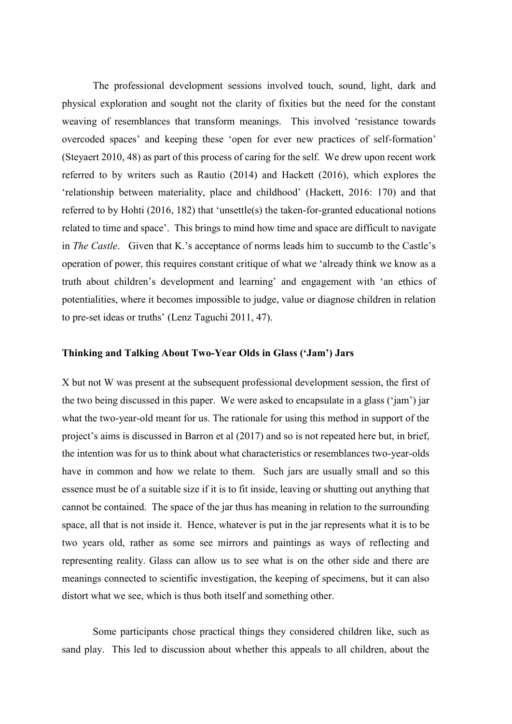The professional development sessions involved touch, sound, light, dark and physical exploration and sought not the clarity of fixities but the need for the constant weaving of resemblances that transform meanings. This involved 'resistance towards overcoded spaces' and keeping these 'open for ever new practices of self-formation' (Steyaert 2010, 48) as part of this process of caring for the self. We drew upon recent work referred to by writers such as Rautio (2014) and Hackett (2016), which explores the 'relationship between materiality, place and childhood' (Hackett, 2016: 170) and that referred to by Hohti (2016, 182) that 'unsettle(s) the taken-for-granted educational notions related to time and space'. This brings to mind how time and space are difficult to navigate in *The Castle*. Given that K.'s acceptance of norms leads him to succumb to the Castle's operation of power, this requires constant critique of what we 'already think we know as a truth about children's development and learning' and engagement with 'an ethics of potentialities, where it becomes impossible to judge, value or diagnose children in relation to pre-set ideas or truths' (Lenz Taguchi 2011, 47).

## **Thinking and Talking About Two-Year Olds in Glass ('Jam') Jars**

X but not W was present at the subsequent professional development session, the first of the two being discussed in this paper. We were asked to encapsulate in a glass ('jam') jar what the two-year-old meant for us. The rationale for using this method in support of the project's aims is discussed in Barron et al (2017) and so is not repeated here but, in brief, the intention was for us to think about what characteristics or resemblances two-year-olds have in common and how we relate to them. Such jars are usually small and so this essence must be of a suitable size if it is to fit inside, leaving or shutting out anything that cannot be contained. The space of the jar thus has meaning in relation to the surrounding space, all that is not inside it. Hence, whatever is put in the jar represents what it is to be two years old, rather as some see mirrors and paintings as ways of reflecting and representing reality. Glass can allow us to see what is on the other side and there are meanings connected to scientific investigation, the keeping of specimens, but it can also distort what we see, which is thus both itself and something other.

Some participants chose practical things they considered children like, such as sand play. This led to discussion about whether this appeals to all children, about the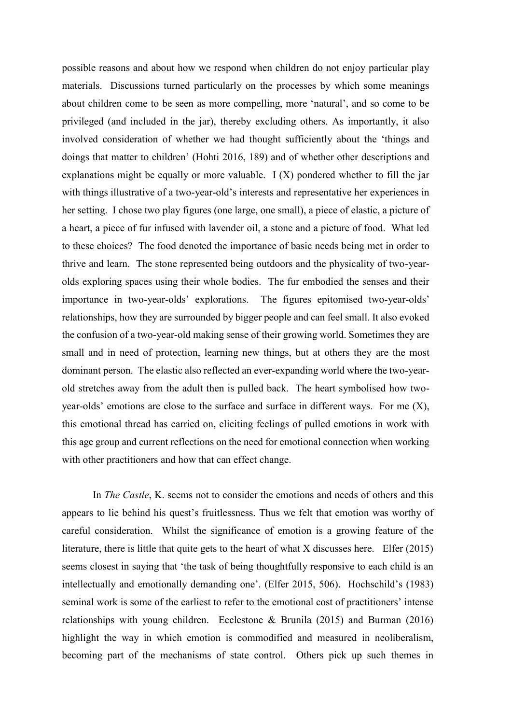possible reasons and about how we respond when children do not enjoy particular play materials. Discussions turned particularly on the processes by which some meanings about children come to be seen as more compelling, more 'natural', and so come to be privileged (and included in the jar), thereby excluding others. As importantly, it also involved consideration of whether we had thought sufficiently about the 'things and doings that matter to children' (Hohti 2016, 189) and of whether other descriptions and explanations might be equally or more valuable. I (X) pondered whether to fill the jar with things illustrative of a two-year-old's interests and representative her experiences in her setting. I chose two play figures (one large, one small), a piece of elastic, a picture of a heart, a piece of fur infused with lavender oil, a stone and a picture of food. What led to these choices? The food denoted the importance of basic needs being met in order to thrive and learn. The stone represented being outdoors and the physicality of two-yearolds exploring spaces using their whole bodies. The fur embodied the senses and their importance in two-year-olds' explorations. The figures epitomised two-year-olds' relationships, how they are surrounded by bigger people and can feel small. It also evoked the confusion of a two-year-old making sense of their growing world. Sometimes they are small and in need of protection, learning new things, but at others they are the most dominant person. The elastic also reflected an ever-expanding world where the two-yearold stretches away from the adult then is pulled back. The heart symbolised how twoyear-olds' emotions are close to the surface and surface in different ways. For me (X), this emotional thread has carried on, eliciting feelings of pulled emotions in work with this age group and current reflections on the need for emotional connection when working with other practitioners and how that can effect change.

In *The Castle*, K. seems not to consider the emotions and needs of others and this appears to lie behind his quest's fruitlessness. Thus we felt that emotion was worthy of careful consideration. Whilst the significance of emotion is a growing feature of the literature, there is little that quite gets to the heart of what X discusses here. Elfer (2015) seems closest in saying that 'the task of being thoughtfully responsive to each child is an intellectually and emotionally demanding one'. (Elfer 2015, 506). Hochschild's (1983) seminal work is some of the earliest to refer to the emotional cost of practitioners' intense relationships with young children. Ecclestone & Brunila (2015) and Burman (2016) highlight the way in which emotion is commodified and measured in neoliberalism, becoming part of the mechanisms of state control. Others pick up such themes in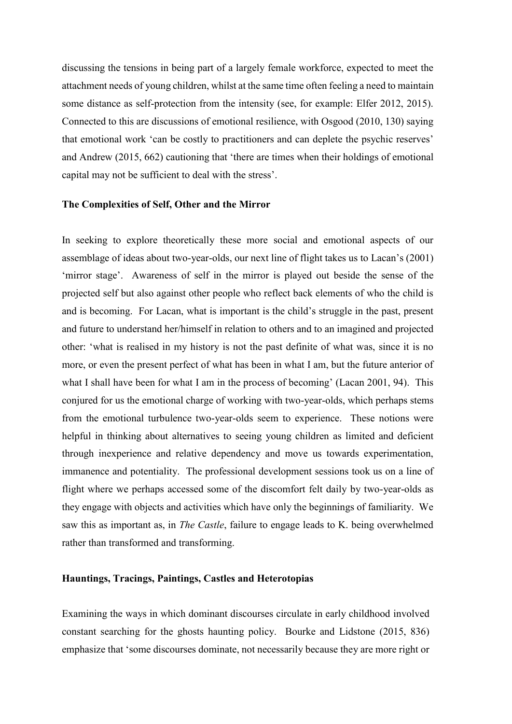discussing the tensions in being part of a largely female workforce, expected to meet the attachment needs of young children, whilst at the same time often feeling a need to maintain some distance as self-protection from the intensity (see, for example: Elfer 2012, 2015). Connected to this are discussions of emotional resilience, with Osgood (2010, 130) saying that emotional work 'can be costly to practitioners and can deplete the psychic reserves' and Andrew (2015, 662) cautioning that 'there are times when their holdings of emotional capital may not be sufficient to deal with the stress'.

### **The Complexities of Self, Other and the Mirror**

In seeking to explore theoretically these more social and emotional aspects of our assemblage of ideas about two-year-olds, our next line of flight takes us to Lacan's (2001) 'mirror stage'. Awareness of self in the mirror is played out beside the sense of the projected self but also against other people who reflect back elements of who the child is and is becoming. For Lacan, what is important is the child's struggle in the past, present and future to understand her/himself in relation to others and to an imagined and projected other: 'what is realised in my history is not the past definite of what was, since it is no more, or even the present perfect of what has been in what I am, but the future anterior of what I shall have been for what I am in the process of becoming' (Lacan 2001, 94). This conjured for us the emotional charge of working with two-year-olds, which perhaps stems from the emotional turbulence two-year-olds seem to experience. These notions were helpful in thinking about alternatives to seeing young children as limited and deficient through inexperience and relative dependency and move us towards experimentation, immanence and potentiality. The professional development sessions took us on a line of flight where we perhaps accessed some of the discomfort felt daily by two-year-olds as they engage with objects and activities which have only the beginnings of familiarity. We saw this as important as, in *The Castle*, failure to engage leads to K. being overwhelmed rather than transformed and transforming.

## **Hauntings, Tracings, Paintings, Castles and Heterotopias**

Examining the ways in which dominant discourses circulate in early childhood involved constant searching for the ghosts haunting policy. Bourke and Lidstone (2015, 836) emphasize that 'some discourses dominate, not necessarily because they are more right or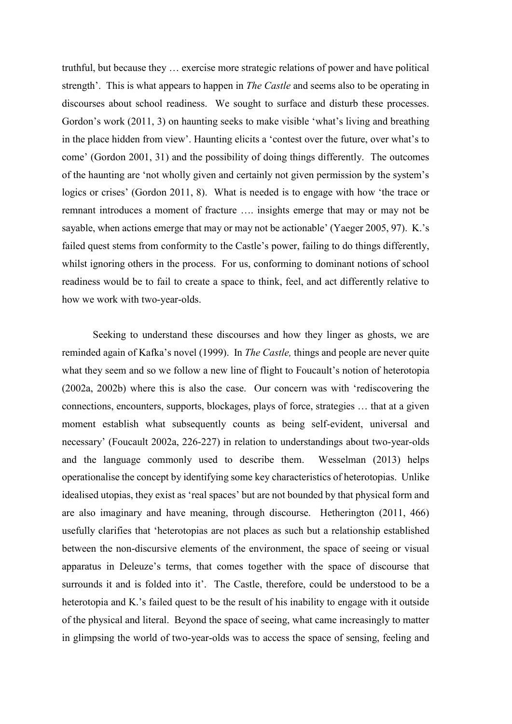truthful, but because they … exercise more strategic relations of power and have political strength'. This is what appears to happen in *The Castle* and seems also to be operating in discourses about school readiness. We sought to surface and disturb these processes. Gordon's work (2011, 3) on haunting seeks to make visible 'what's living and breathing in the place hidden from view'. Haunting elicits a 'contest over the future, over what's to come' (Gordon 2001, 31) and the possibility of doing things differently. The outcomes of the haunting are 'not wholly given and certainly not given permission by the system's logics or crises' (Gordon 2011, 8). What is needed is to engage with how 'the trace or remnant introduces a moment of fracture …. insights emerge that may or may not be sayable, when actions emerge that may or may not be actionable' (Yaeger 2005, 97). K.'s failed quest stems from conformity to the Castle's power, failing to do things differently, whilst ignoring others in the process. For us, conforming to dominant notions of school readiness would be to fail to create a space to think, feel, and act differently relative to how we work with two-year-olds.

Seeking to understand these discourses and how they linger as ghosts, we are reminded again of Kafka's novel (1999). In *The Castle,* things and people are never quite what they seem and so we follow a new line of flight to Foucault's notion of heterotopia (2002a, 2002b) where this is also the case. Our concern was with 'rediscovering the connections, encounters, supports, blockages, plays of force, strategies … that at a given moment establish what subsequently counts as being self-evident, universal and necessary' (Foucault 2002a, 226-227) in relation to understandings about two-year-olds and the language commonly used to describe them. Wesselman (2013) helps operationalise the concept by identifying some key characteristics of heterotopias. Unlike idealised utopias, they exist as 'real spaces' but are not bounded by that physical form and are also imaginary and have meaning, through discourse. Hetherington (2011, 466) usefully clarifies that 'heterotopias are not places as such but a relationship established between the non-discursive elements of the environment, the space of seeing or visual apparatus in Deleuze's terms, that comes together with the space of discourse that surrounds it and is folded into it'. The Castle, therefore, could be understood to be a heterotopia and K.'s failed quest to be the result of his inability to engage with it outside of the physical and literal. Beyond the space of seeing, what came increasingly to matter in glimpsing the world of two-year-olds was to access the space of sensing, feeling and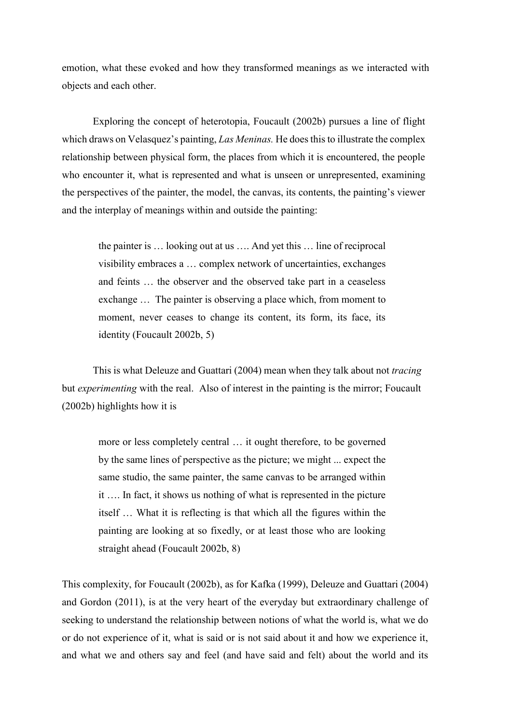emotion, what these evoked and how they transformed meanings as we interacted with objects and each other.

Exploring the concept of heterotopia, Foucault (2002b) pursues a line of flight which draws on Velasquez's painting, *Las Meninas.* He does this to illustrate the complex relationship between physical form, the places from which it is encountered, the people who encounter it, what is represented and what is unseen or unrepresented, examining the perspectives of the painter, the model, the canvas, its contents, the painting's viewer and the interplay of meanings within and outside the painting:

the painter is … looking out at us …. And yet this … line of reciprocal visibility embraces a … complex network of uncertainties, exchanges and feints … the observer and the observed take part in a ceaseless exchange … The painter is observing a place which, from moment to moment, never ceases to change its content, its form, its face, its identity (Foucault 2002b, 5)

This is what Deleuze and Guattari (2004) mean when they talk about not *tracing* but *experimenting* with the real. Also of interest in the painting is the mirror; Foucault (2002b) highlights how it is

more or less completely central … it ought therefore, to be governed by the same lines of perspective as the picture; we might ... expect the same studio, the same painter, the same canvas to be arranged within it …. In fact, it shows us nothing of what is represented in the picture itself … What it is reflecting is that which all the figures within the painting are looking at so fixedly, or at least those who are looking straight ahead (Foucault 2002b, 8)

This complexity, for Foucault (2002b), as for Kafka (1999), Deleuze and Guattari (2004) and Gordon (2011), is at the very heart of the everyday but extraordinary challenge of seeking to understand the relationship between notions of what the world is, what we do or do not experience of it, what is said or is not said about it and how we experience it, and what we and others say and feel (and have said and felt) about the world and its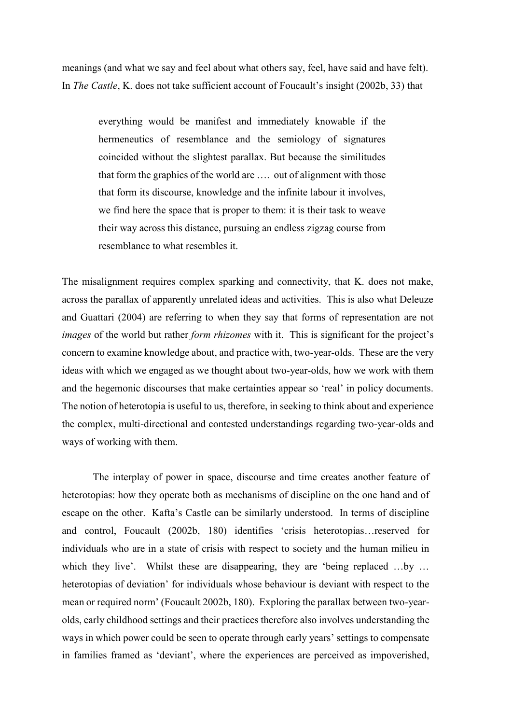meanings (and what we say and feel about what others say, feel, have said and have felt). In *The Castle*, K. does not take sufficient account of Foucault's insight (2002b, 33) that

everything would be manifest and immediately knowable if the hermeneutics of resemblance and the semiology of signatures coincided without the slightest parallax. But because the similitudes that form the graphics of the world are …. out of alignment with those that form its discourse, knowledge and the infinite labour it involves, we find here the space that is proper to them: it is their task to weave their way across this distance, pursuing an endless zigzag course from resemblance to what resembles it.

The misalignment requires complex sparking and connectivity, that K. does not make, across the parallax of apparently unrelated ideas and activities. This is also what Deleuze and Guattari (2004) are referring to when they say that forms of representation are not *images* of the world but rather *form rhizomes* with it. This is significant for the project's concern to examine knowledge about, and practice with, two-year-olds. These are the very ideas with which we engaged as we thought about two-year-olds, how we work with them and the hegemonic discourses that make certainties appear so 'real' in policy documents. The notion of heterotopia is useful to us, therefore, in seeking to think about and experience the complex, multi-directional and contested understandings regarding two-year-olds and ways of working with them.

The interplay of power in space, discourse and time creates another feature of heterotopias: how they operate both as mechanisms of discipline on the one hand and of escape on the other. Kafta's Castle can be similarly understood. In terms of discipline and control, Foucault (2002b, 180) identifies 'crisis heterotopias…reserved for individuals who are in a state of crisis with respect to society and the human milieu in which they live'. Whilst these are disappearing, they are 'being replaced ...by ... heterotopias of deviation' for individuals whose behaviour is deviant with respect to the mean or required norm' (Foucault 2002b, 180). Exploring the parallax between two-yearolds, early childhood settings and their practices therefore also involves understanding the ways in which power could be seen to operate through early years' settings to compensate in families framed as 'deviant', where the experiences are perceived as impoverished,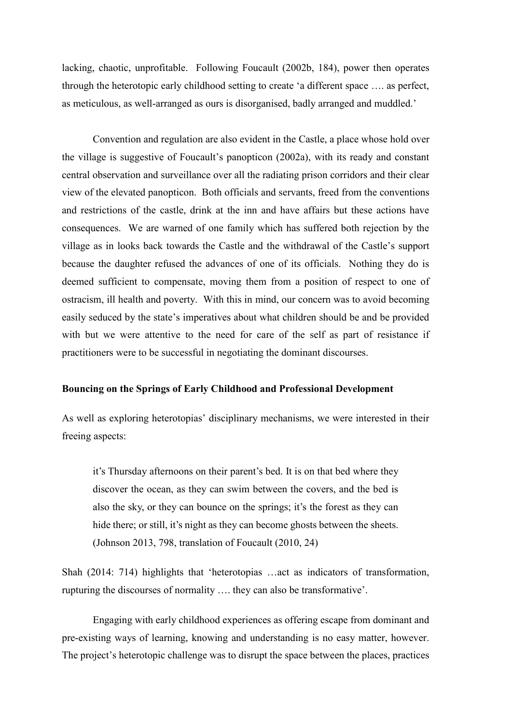lacking, chaotic, unprofitable. Following Foucault (2002b, 184), power then operates through the heterotopic early childhood setting to create 'a different space …. as perfect, as meticulous, as well-arranged as ours is disorganised, badly arranged and muddled.'

Convention and regulation are also evident in the Castle, a place whose hold over the village is suggestive of Foucault's panopticon (2002a), with its ready and constant central observation and surveillance over all the radiating prison corridors and their clear view of the elevated panopticon. Both officials and servants, freed from the conventions and restrictions of the castle, drink at the inn and have affairs but these actions have consequences. We are warned of one family which has suffered both rejection by the village as in looks back towards the Castle and the withdrawal of the Castle's support because the daughter refused the advances of one of its officials. Nothing they do is deemed sufficient to compensate, moving them from a position of respect to one of ostracism, ill health and poverty. With this in mind, our concern was to avoid becoming easily seduced by the state's imperatives about what children should be and be provided with but we were attentive to the need for care of the self as part of resistance if practitioners were to be successful in negotiating the dominant discourses.

## **Bouncing on the Springs of Early Childhood and Professional Development**

As well as exploring heterotopias' disciplinary mechanisms, we were interested in their freeing aspects:

it's Thursday afternoons on their parent's bed. It is on that bed where they discover the ocean, as they can swim between the covers, and the bed is also the sky, or they can bounce on the springs; it's the forest as they can hide there; or still, it's night as they can become ghosts between the sheets. (Johnson 2013, 798, translation of Foucault (2010, 24)

Shah (2014: 714) highlights that 'heterotopias …act as indicators of transformation, rupturing the discourses of normality …. they can also be transformative'.

Engaging with early childhood experiences as offering escape from dominant and pre-existing ways of learning, knowing and understanding is no easy matter, however. The project's heterotopic challenge was to disrupt the space between the places, practices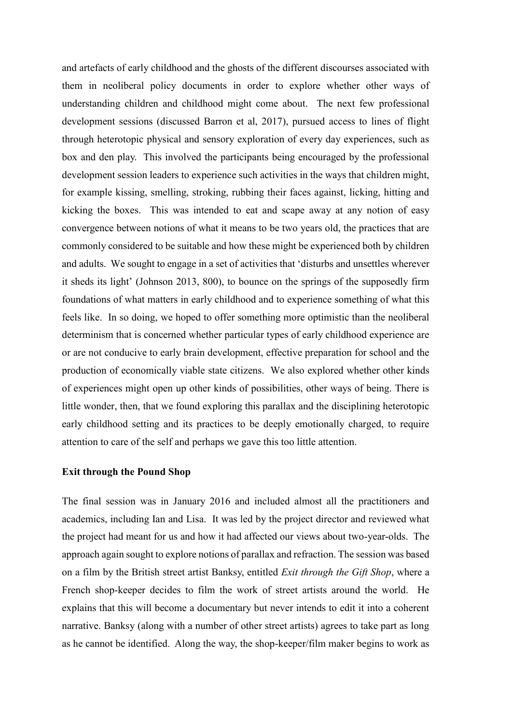and artefacts of early childhood and the ghosts of the different discourses associated with them in neoliberal policy documents in order to explore whether other ways of understanding children and childhood might come about. The next few professional development sessions (discussed Barron et al, 2017), pursued access to lines of flight through heterotopic physical and sensory exploration of every day experiences, such as box and den play. This involved the participants being encouraged by the professional development session leaders to experience such activities in the ways that children might, for example kissing, smelling, stroking, rubbing their faces against, licking, hitting and kicking the boxes. This was intended to eat and scape away at any notion of easy convergence between notions of what it means to be two years old, the practices that are commonly considered to be suitable and how these might be experienced both by children and adults. We sought to engage in a set of activities that 'disturbs and unsettles wherever it sheds its light' (Johnson 2013, 800), to bounce on the springs of the supposedly firm foundations of what matters in early childhood and to experience something of what this feels like. In so doing, we hoped to offer something more optimistic than the neoliberal determinism that is concerned whether particular types of early childhood experience are or are not conducive to early brain development, effective preparation for school and the production of economically viable state citizens. We also explored whether other kinds of experiences might open up other kinds of possibilities, other ways of being. There is little wonder, then, that we found exploring this parallax and the disciplining heterotopic early childhood setting and its practices to be deeply emotionally charged, to require attention to care of the self and perhaps we gave this too little attention.

### **Exit through the Pound Shop**

The final session was in January 2016 and included almost all the practitioners and academics, including Ian and Lisa. It was led by the project director and reviewed what the project had meant for us and how it had affected our views about two-year-olds. The approach again sought to explore notions of parallax and refraction. The session was based on a film by the British street artist Banksy, entitled *Exit through the Gift Shop*, where a French shop-keeper decides to film the work of street artists around the world. He explains that this will become a documentary but never intends to edit it into a coherent narrative. Banksy (along with a number of other street artists) agrees to take part as long as he cannot be identified. Along the way, the shop-keeper/film maker begins to work as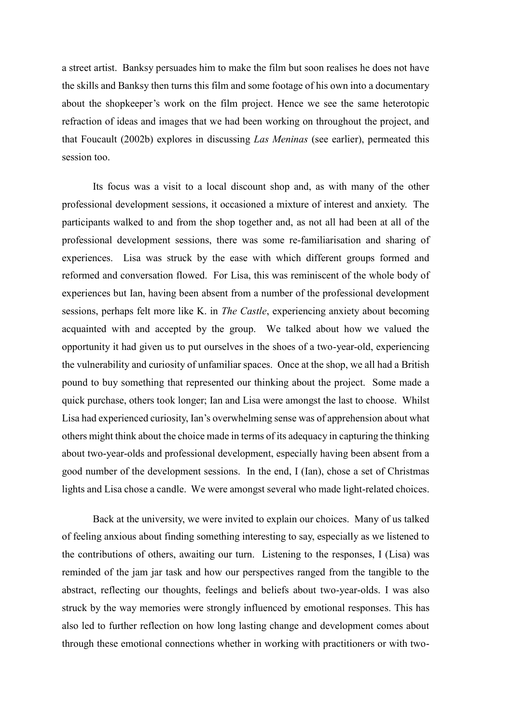a street artist. Banksy persuades him to make the film but soon realises he does not have the skills and Banksy then turns this film and some footage of his own into a documentary about the shopkeeper's work on the film project. Hence we see the same heterotopic refraction of ideas and images that we had been working on throughout the project, and that Foucault (2002b) explores in discussing *Las Meninas* (see earlier), permeated this session too.

Its focus was a visit to a local discount shop and, as with many of the other professional development sessions, it occasioned a mixture of interest and anxiety. The participants walked to and from the shop together and, as not all had been at all of the professional development sessions, there was some re-familiarisation and sharing of experiences. Lisa was struck by the ease with which different groups formed and reformed and conversation flowed. For Lisa, this was reminiscent of the whole body of experiences but Ian, having been absent from a number of the professional development sessions, perhaps felt more like K. in *The Castle*, experiencing anxiety about becoming acquainted with and accepted by the group. We talked about how we valued the opportunity it had given us to put ourselves in the shoes of a two-year-old, experiencing the vulnerability and curiosity of unfamiliar spaces. Once at the shop, we all had a British pound to buy something that represented our thinking about the project. Some made a quick purchase, others took longer; Ian and Lisa were amongst the last to choose. Whilst Lisa had experienced curiosity, Ian's overwhelming sense was of apprehension about what others might think about the choice made in terms of its adequacy in capturing the thinking about two-year-olds and professional development, especially having been absent from a good number of the development sessions. In the end, I (Ian), chose a set of Christmas lights and Lisa chose a candle. We were amongst several who made light-related choices.

Back at the university, we were invited to explain our choices. Many of us talked of feeling anxious about finding something interesting to say, especially as we listened to the contributions of others, awaiting our turn. Listening to the responses, I (Lisa) was reminded of the jam jar task and how our perspectives ranged from the tangible to the abstract, reflecting our thoughts, feelings and beliefs about two-year-olds. I was also struck by the way memories were strongly influenced by emotional responses. This has also led to further reflection on how long lasting change and development comes about through these emotional connections whether in working with practitioners or with two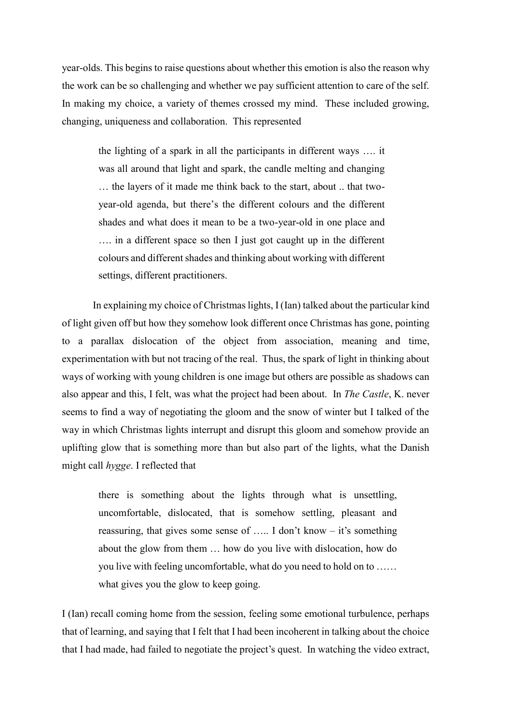year-olds. This begins to raise questions about whether this emotion is also the reason why the work can be so challenging and whether we pay sufficient attention to care of the self. In making my choice, a variety of themes crossed my mind. These included growing, changing, uniqueness and collaboration. This represented

the lighting of a spark in all the participants in different ways …. it was all around that light and spark, the candle melting and changing … the layers of it made me think back to the start, about .. that twoyear-old agenda, but there's the different colours and the different shades and what does it mean to be a two-year-old in one place and …. in a different space so then I just got caught up in the different colours and different shades and thinking about working with different settings, different practitioners.

In explaining my choice of Christmas lights, I (Ian) talked about the particular kind of light given off but how they somehow look different once Christmas has gone, pointing to a parallax dislocation of the object from association, meaning and time, experimentation with but not tracing of the real. Thus, the spark of light in thinking about ways of working with young children is one image but others are possible as shadows can also appear and this, I felt, was what the project had been about. In *The Castle*, K. never seems to find a way of negotiating the gloom and the snow of winter but I talked of the way in which Christmas lights interrupt and disrupt this gloom and somehow provide an uplifting glow that is something more than but also part of the lights, what the Danish might call *hygge*. I reflected that

there is something about the lights through what is unsettling, uncomfortable, dislocated, that is somehow settling, pleasant and reassuring, that gives some sense of ….. I don't know – it's something about the glow from them … how do you live with dislocation, how do you live with feeling uncomfortable, what do you need to hold on to …… what gives you the glow to keep going.

I (Ian) recall coming home from the session, feeling some emotional turbulence, perhaps that of learning, and saying that I felt that I had been incoherent in talking about the choice that I had made, had failed to negotiate the project's quest. In watching the video extract,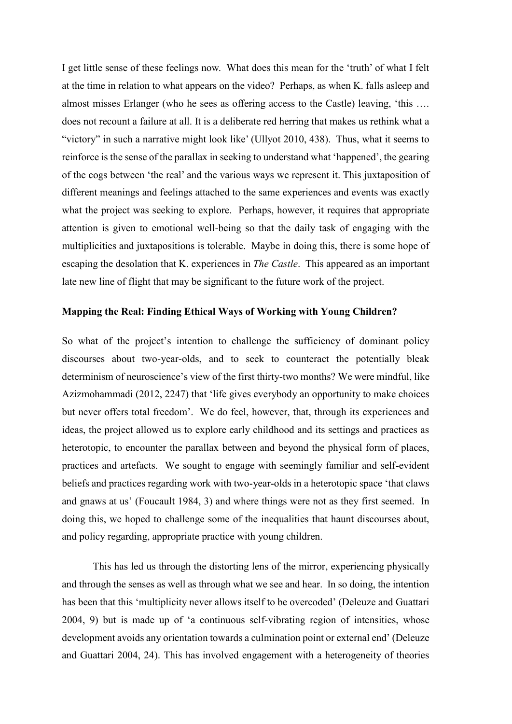I get little sense of these feelings now. What does this mean for the 'truth' of what I felt at the time in relation to what appears on the video? Perhaps, as when K. falls asleep and almost misses Erlanger (who he sees as offering access to the Castle) leaving, 'this …. does not recount a failure at all. It is a deliberate red herring that makes us rethink what a "victory" in such a narrative might look like' (Ullyot 2010, 438). Thus, what it seems to reinforce is the sense of the parallax in seeking to understand what 'happened', the gearing of the cogs between 'the real' and the various ways we represent it. This juxtaposition of different meanings and feelings attached to the same experiences and events was exactly what the project was seeking to explore. Perhaps, however, it requires that appropriate attention is given to emotional well-being so that the daily task of engaging with the multiplicities and juxtapositions is tolerable. Maybe in doing this, there is some hope of escaping the desolation that K. experiences in *The Castle*. This appeared as an important late new line of flight that may be significant to the future work of the project.

## **Mapping the Real: Finding Ethical Ways of Working with Young Children?**

So what of the project's intention to challenge the sufficiency of dominant policy discourses about two-year-olds, and to seek to counteract the potentially bleak determinism of neuroscience's view of the first thirty-two months? We were mindful, like Azizmohammadi (2012, 2247) that 'life gives everybody an opportunity to make choices but never offers total freedom'. We do feel, however, that, through its experiences and ideas, the project allowed us to explore early childhood and its settings and practices as heterotopic, to encounter the parallax between and beyond the physical form of places, practices and artefacts. We sought to engage with seemingly familiar and self-evident beliefs and practices regarding work with two-year-olds in a heterotopic space 'that claws and gnaws at us' (Foucault 1984, 3) and where things were not as they first seemed. In doing this, we hoped to challenge some of the inequalities that haunt discourses about, and policy regarding, appropriate practice with young children.

This has led us through the distorting lens of the mirror, experiencing physically and through the senses as well as through what we see and hear. In so doing, the intention has been that this 'multiplicity never allows itself to be overcoded' (Deleuze and Guattari 2004, 9) but is made up of 'a continuous self-vibrating region of intensities, whose development avoids any orientation towards a culmination point or external end' (Deleuze and Guattari 2004, 24). This has involved engagement with a heterogeneity of theories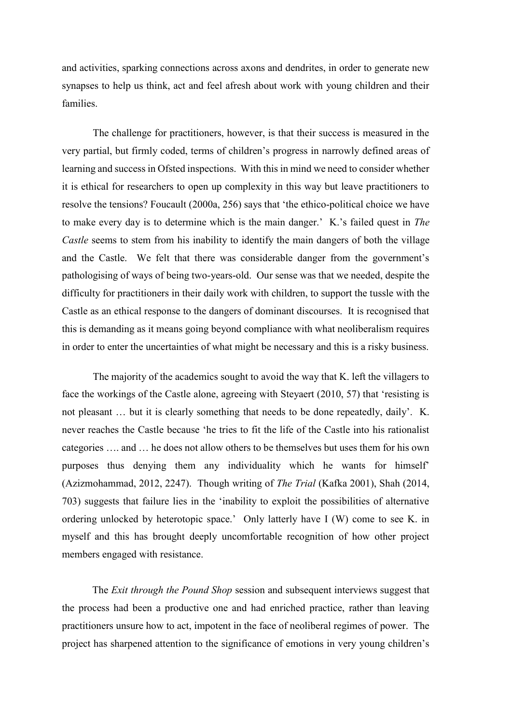and activities, sparking connections across axons and dendrites, in order to generate new synapses to help us think, act and feel afresh about work with young children and their families.

The challenge for practitioners, however, is that their success is measured in the very partial, but firmly coded, terms of children's progress in narrowly defined areas of learning and success in Ofsted inspections. With this in mind we need to consider whether it is ethical for researchers to open up complexity in this way but leave practitioners to resolve the tensions? Foucault (2000a, 256) says that 'the ethico-political choice we have to make every day is to determine which is the main danger.' K.'s failed quest in *The Castle* seems to stem from his inability to identify the main dangers of both the village and the Castle. We felt that there was considerable danger from the government's pathologising of ways of being two-years-old. Our sense was that we needed, despite the difficulty for practitioners in their daily work with children, to support the tussle with the Castle as an ethical response to the dangers of dominant discourses. It is recognised that this is demanding as it means going beyond compliance with what neoliberalism requires in order to enter the uncertainties of what might be necessary and this is a risky business.

The majority of the academics sought to avoid the way that K. left the villagers to face the workings of the Castle alone, agreeing with Steyaert (2010, 57) that 'resisting is not pleasant … but it is clearly something that needs to be done repeatedly, daily'. K. never reaches the Castle because 'he tries to fit the life of the Castle into his rationalist categories …. and … he does not allow others to be themselves but uses them for his own purposes thus denying them any individuality which he wants for himself' (Azizmohammad, 2012, 2247). Though writing of *The Trial* (Kafka 2001), Shah (2014, 703) suggests that failure lies in the 'inability to exploit the possibilities of alternative ordering unlocked by heterotopic space.' Only latterly have I (W) come to see K. in myself and this has brought deeply uncomfortable recognition of how other project members engaged with resistance.

The *Exit through the Pound Shop* session and subsequent interviews suggest that the process had been a productive one and had enriched practice, rather than leaving practitioners unsure how to act, impotent in the face of neoliberal regimes of power. The project has sharpened attention to the significance of emotions in very young children's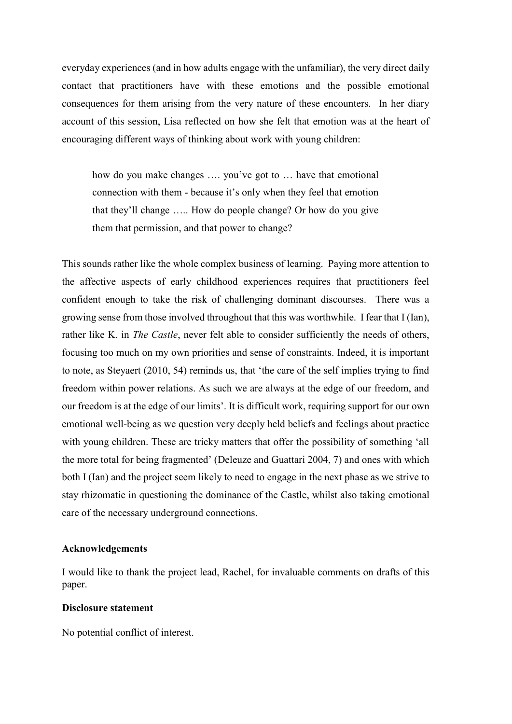everyday experiences (and in how adults engage with the unfamiliar), the very direct daily contact that practitioners have with these emotions and the possible emotional consequences for them arising from the very nature of these encounters. In her diary account of this session, Lisa reflected on how she felt that emotion was at the heart of encouraging different ways of thinking about work with young children:

how do you make changes …. you've got to … have that emotional connection with them - because it's only when they feel that emotion that they'll change ….. How do people change? Or how do you give them that permission, and that power to change?

This sounds rather like the whole complex business of learning. Paying more attention to the affective aspects of early childhood experiences requires that practitioners feel confident enough to take the risk of challenging dominant discourses. There was a growing sense from those involved throughout that this was worthwhile. I fear that I (Ian), rather like K. in *The Castle*, never felt able to consider sufficiently the needs of others, focusing too much on my own priorities and sense of constraints. Indeed, it is important to note, as Steyaert (2010, 54) reminds us, that 'the care of the self implies trying to find freedom within power relations. As such we are always at the edge of our freedom, and our freedom is at the edge of our limits'. It is difficult work, requiring support for our own emotional well-being as we question very deeply held beliefs and feelings about practice with young children. These are tricky matters that offer the possibility of something 'all the more total for being fragmented' (Deleuze and Guattari 2004, 7) and ones with which both I (Ian) and the project seem likely to need to engage in the next phase as we strive to stay rhizomatic in questioning the dominance of the Castle, whilst also taking emotional care of the necessary underground connections.

#### **Acknowledgements**

I would like to thank the project lead, Rachel, for invaluable comments on drafts of this paper.

## **Disclosure statement**

No potential conflict of interest.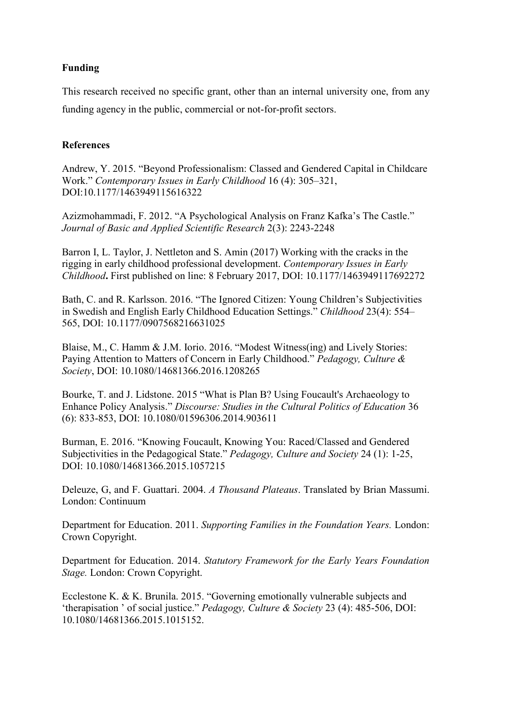# **Funding**

This research received no specific grant, other than an internal university one, from any funding agency in the public, commercial or not-for-profit sectors.

## **References**

Andrew, Y. 2015. "Beyond Professionalism: Classed and Gendered Capital in Childcare Work." *Contemporary Issues in Early Childhood* 16 (4): 305–321, DOI:10.1177/1463949115616322

Azizmohammadi, F. 2012. "A Psychological Analysis on Franz Kafka's The Castle." *Journal of Basic and Applied Scientific Research* 2(3): 2243-2248

Barron I, L. Taylor, J. Nettleton and S. Amin (2017) Working with the cracks in the rigging in early childhood professional development. *Contemporary Issues in Early Childhood***.** First published on line: 8 February 2017, DOI: 10.1177/1463949117692272

Bath, C. and R. Karlsson. 2016. "The Ignored Citizen: Young Children's Subjectivities in Swedish and English Early Childhood Education Settings." *Childhood* 23(4): 554– 565, DOI: 10.1177/0907568216631025

Blaise, M., C. Hamm & J.M. Iorio. 2016. "Modest Witness(ing) and Lively Stories: Paying Attention to Matters of Concern in Early Childhood." *Pedagogy, Culture & Society*, DOI: 10.1080/14681366.2016.1208265

Bourke, T. and J. Lidstone. 2015 "What is Plan B? Using Foucault's Archaeology to Enhance Policy Analysis." *Discourse: Studies in the Cultural Politics of Education* 36 (6): 833-853, DOI: 10.1080/01596306.2014.903611

[Burman, E.](https://www.research.manchester.ac.uk/portal/erica.burman.html) 2016. "[Knowing Foucault, Knowing You: Raced/Classed and Gendered](https://www.research.manchester.ac.uk/portal/en/publications/knowing-foucault-knowing-you-racedclassed-and-gendered-subjectivities-in-the-pedagogical-state%289cfa0b08-854c-4775-915a-ac82dfe8d3c2%29.html)  [Subjectivities in the Pedagogical State](https://www.research.manchester.ac.uk/portal/en/publications/knowing-foucault-knowing-you-racedclassed-and-gendered-subjectivities-in-the-pedagogical-state%289cfa0b08-854c-4775-915a-ac82dfe8d3c2%29.html)." *Pedagogy, Culture and Society* 24 (1): 1-25, DOI: [10.1080/14681366.2015.1057215](http://dx.doi.org/10.1080/14681366.2015.1057215)

Deleuze, G, and F. Guattari. 2004. *A Thousand Plateaus*. Translated by Brian Massumi. London: Continuum

Department for Education. 2011. *Supporting Families in the Foundation Years.* London: Crown Copyright.

Department for Education. 2014. *Statutory Framework for the Early Years Foundation Stage.* London: Crown Copyright.

Ecclestone K. & K. Brunila. 2015. "Governing emotionally vulnerable subjects and 'therapisation ' of social justice." *Pedagogy, Culture & Society* 23 (4): 485-506, DOI: 10.1080/14681366.2015.1015152.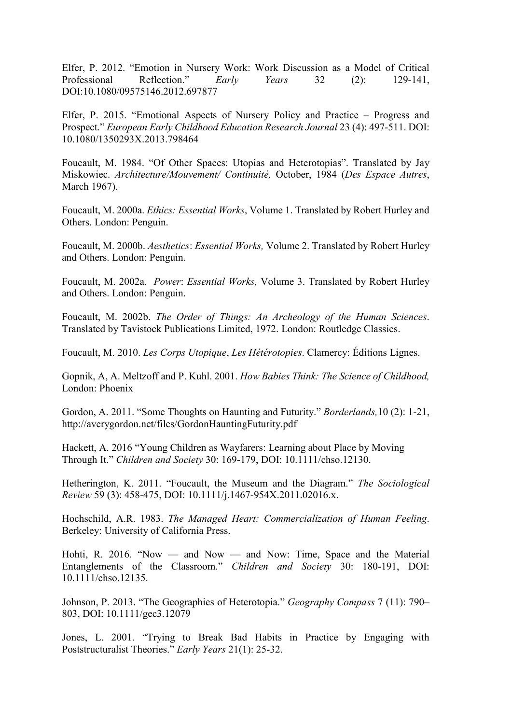Elfer, P. 2012. "Emotion in Nursery Work: Work Discussion as a Model of Critical Professional Reflection." *Early Years* 32 (2): 129-141, DOI[:10.1080/09575146.2012.697877](https://doi.org/10.1080/09575146.2012.697877)

Elfer, P. 2015. "Emotional Aspects of Nursery Policy and Practice – Progress and Prospect." *European Early Childhood Education Research Journal* 23 (4): 497-511. DOI: 10.1080/1350293X.2013.798464

Foucault, M. 1984. "Of Other Spaces: Utopias and Heterotopias". Translated by Jay Miskowiec. *Architecture/Mouvement/ Continuité,* October, 1984 (*Des Espace Autres*, March 1967).

Foucault, M. 2000a. *Ethics: Essential Works*, Volume 1. Translated by Robert Hurley and Others. London: Penguin.

Foucault, M. 2000b. *Aesthetics*: *Essential Works,* Volume 2. Translated by Robert Hurley and Others. London: Penguin.

Foucault, M. 2002a. *Power*: *Essential Works,* Volume 3. Translated by Robert Hurley and Others. London: Penguin.

Foucault, M. 2002b. *The Order of Things: An Archeology of the Human Sciences*. Translated by Tavistock Publications Limited, 1972. London: Routledge Classics.

Foucault, M. 2010. *Les Corps Utopique*, *Les Hétérotopies*. Clamercy: Éditions Lignes.

Gopnik, A, A. Meltzoff and P. Kuhl. 2001. *How Babies Think: The Science of Childhood,*  London: Phoenix

Gordon, A. 2011. "Some Thoughts on Haunting and Futurity." *Borderlands,*10 (2): 1-21, http://averygordon.net/files/GordonHauntingFuturity.pdf

Hackett, A. 2016 "Young Children as Wayfarers: Learning about Place by Moving Through It." *Children and Society* 30: 169-179, DOI: 10.1111/chso.12130.

Hetherington, K. 2011. "Foucault, the Museum and the Diagram." *The Sociological Review* 59 (3): 458-475, DOI: 10.1111/j.1467-954X.2011.02016.x.

Hochschild, A.R. 1983. *The Managed Heart: Commercialization of Human Feeling*. Berkeley: University of California Press.

Hohti, R. 2016. "Now — and Now — and Now: Time, Space and the Material Entanglements of the Classroom." *Children and Society* 30: 180-191, DOI: 10.1111/chso.12135.

Johnson, P. 2013. "The Geographies of Heterotopia." *Geography Compass* 7 (11): 790– 803, DOI: 10.1111/gec3.12079

Jones, L. 2001. "Trying to Break Bad Habits in Practice by Engaging with Poststructuralist Theories." *Early Years* 21(1): 25-32.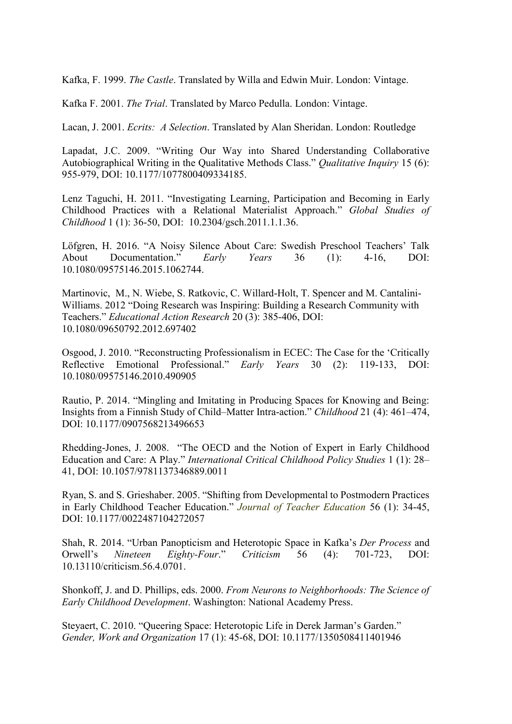Kafka, F. 1999. *The Castle*. Translated by Willa and Edwin Muir. London: Vintage.

Kafka F. 2001. *The Trial*. Translated by Marco Pedulla. London: Vintage.

Lacan, J. 2001. *Ecrits: A Selection*. Translated by Alan Sheridan. London: Routledge

Lapadat, J.C. 2009. "Writing Our Way into Shared Understanding Collaborative Autobiographical Writing in the Qualitative Methods Class." *Qualitative Inquiry* 15 (6): 955-979, DOI: 10.1177/1077800409334185.

Lenz Taguchi, H. 2011. "Investigating Learning, Participation and Becoming in Early Childhood Practices with a Relational Materialist Approach." *Global Studies of Childhood* 1 (1): 36-50, DOI: 10.2304/gsch.2011.1.1.36.

Löfgren, H. 2016. "A Noisy Silence About Care: Swedish Preschool Teachers' Talk About Documentation." *Early Years* 36 (1): 4-16, DOI: 10.1080/09575146.2015.1062744.

Martinovic, M., N. Wiebe, S. Ratkovic, C. Willard-Holt, T. Spencer and M. Cantalini-Williams. 2012 "Doing Research was Inspiring: Building a Research Community with Teachers." *Educational Action Research* 20 (3): 385-406, DOI: 10.1080/09650792.2012.697402

Osgood, J. 2010. "Reconstructing Professionalism in ECEC: The Case for the 'Critically Reflective Emotional Professional." *Early Years* 30 (2): 119-133, DOI: 10.1080/09575146.2010.490905

Rautio, P. 2014. "Mingling and Imitating in Producing Spaces for Knowing and Being: Insights from a Finnish Study of Child–Matter Intra-action." *Childhood* 21 (4): 461–474, DOI: 10.1177/0907568213496653

Rhedding-Jones, J. 2008. "The OECD and the Notion of Expert in Early Childhood Education and Care: A Play." *International Critical Childhood Policy Studies* 1 (1): 28– 41, DOI: 10.1057/9781137346889.0011

Ryan, S. and S. Grieshaber. 2005. "Shifting from Developmental to Postmodern Practices in Early Childhood Teacher Education." *Journal of Teacher Education* 56 (1): 34-45, DOI: 10.1177/0022487104272057

Shah, R. 2014. "Urban Panopticism and Heterotopic Space in Kafka's *Der Process* and Orwell's *Nineteen Eighty-Four*." *Criticism* 56 (4): 701-723, DOI: 10.13110/criticism.56.4.0701.

Shonkoff, J. and D. Phillips, eds. 2000. *From Neurons to Neighborhoods: The Science of Early Childhood Development*. Washington: National Academy Press.

Steyaert, C. 2010. "Queering Space: Heterotopic Life in Derek Jarman's Garden." *Gender, Work and Organization* 17 (1): 45-68, DOI: 10.1177/1350508411401946